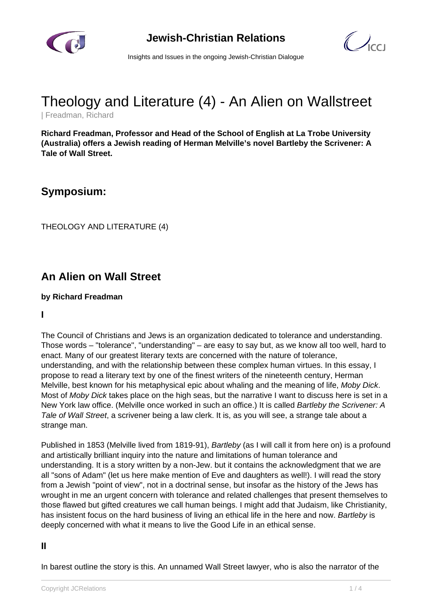



Insights and Issues in the ongoing Jewish-Christian Dialogue

# Theology and Literature (4) - An Alien on Wallstreet

| Freadman, Richard

**Richard Freadman, Professor and Head of the School of English at La Trobe University (Australia) offers a Jewish reading of Herman Melville's novel Bartleby the Scrivener: A Tale of Wall Street.**

# **Symposium:**

THEOLOGY AND LITERATURE (4)

# **An Alien on Wall Street**

#### **by Richard Freadman**

**I**

The Council of Christians and Jews is an organization dedicated to tolerance and understanding. Those words – "tolerance", "understanding" – are easy to say but, as we know all too well, hard to enact. Many of our greatest literary texts are concerned with the nature of tolerance, understanding, and with the relationship between these complex human virtues. In this essay, I propose to read a literary text by one of the finest writers of the nineteenth century, Herman Melville, best known for his metaphysical epic about whaling and the meaning of life, Moby Dick. Most of Moby Dick takes place on the high seas, but the narrative I want to discuss here is set in a New York law office. (Melville once worked in such an office.) It is called Bartleby the Scrivener: A Tale of Wall Street, a scrivener being a law clerk. It is, as you will see, a strange tale about a strange man.

Published in 1853 (Melville lived from 1819-91), Bartleby (as I will call it from here on) is a profound and artistically brilliant inquiry into the nature and limitations of human tolerance and understanding. It is a story written by a non-Jew. but it contains the acknowledgment that we are all "sons of Adam" (let us here make mention of Eve and daughters as well!). I will read the story from a Jewish "point of view", not in a doctrinal sense, but insofar as the history of the Jews has wrought in me an urgent concern with tolerance and related challenges that present themselves to those flawed but gifted creatures we call human beings. I might add that Judaism, like Christianity, has insistent focus on the hard business of living an ethical life in the here and now. Bartleby is deeply concerned with what it means to live the Good Life in an ethical sense.

### **II**

In barest outline the story is this. An unnamed Wall Street lawyer, who is also the narrator of the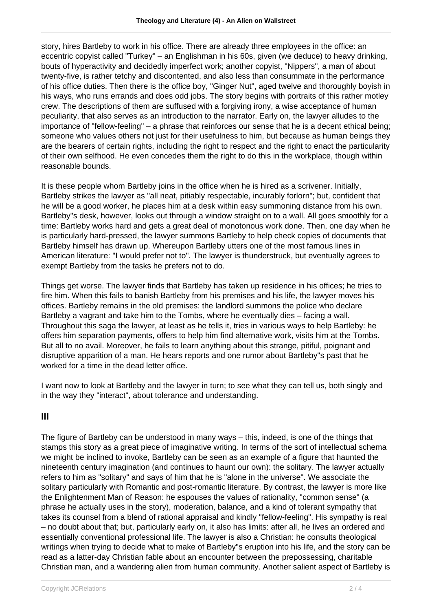story, hires Bartleby to work in his office. There are already three employees in the office: an eccentric copyist called "Turkey" – an Englishman in his 60s, given (we deduce) to heavy drinking, bouts of hyperactivity and decidedly imperfect work; another copyist, "Nippers", a man of about twenty-five, is rather tetchy and discontented, and also less than consummate in the performance of his office duties. Then there is the office boy, "Ginger Nut", aged twelve and thoroughly boyish in his ways, who runs errands and does odd jobs. The story begins with portraits of this rather motley crew. The descriptions of them are suffused with a forgiving irony, a wise acceptance of human peculiarity, that also serves as an introduction to the narrator. Early on, the lawyer alludes to the importance of "fellow-feeling" – a phrase that reinforces our sense that he is a decent ethical being; someone who values others not just for their usefulness to him, but because as human beings they are the bearers of certain rights, including the right to respect and the right to enact the particularity of their own selfhood. He even concedes them the right to do this in the workplace, though within reasonable bounds.

It is these people whom Bartleby joins in the office when he is hired as a scrivener. Initially, Bartleby strikes the lawyer as "all neat, pitiably respectable, incurably forlorn"; but, confident that he will be a good worker, he places him at a desk within easy summoning distance from his own. Bartleby"s desk, however, looks out through a window straight on to a wall. All goes smoothly for a time: Bartleby works hard and gets a great deal of monotonous work done. Then, one day when he is particularly hard-pressed, the lawyer summons Bartleby to help check copies of documents that Bartleby himself has drawn up. Whereupon Bartleby utters one of the most famous lines in American literature: "I would prefer not to". The lawyer is thunderstruck, but eventually agrees to exempt Bartleby from the tasks he prefers not to do.

Things get worse. The lawyer finds that Bartleby has taken up residence in his offices; he tries to fire him. When this fails to banish Bartleby from his premises and his life, the lawyer moves his offices. Bartleby remains in the old premises: the landlord summons the police who declare Bartleby a vagrant and take him to the Tombs, where he eventually dies – facing a wall. Throughout this saga the lawyer, at least as he tells it, tries in various ways to help Bartleby: he offers him separation payments, offers to help him find alternative work, visits him at the Tombs. But all to no avail. Moreover, he fails to learn anything about this strange, pitiful, poignant and disruptive apparition of a man. He hears reports and one rumor about Bartleby"s past that he worked for a time in the dead letter office.

I want now to look at Bartleby and the lawyer in turn; to see what they can tell us, both singly and in the way they "interact", about tolerance and understanding.

### **III**

The figure of Bartleby can be understood in many ways – this, indeed, is one of the things that stamps this story as a great piece of imaginative writing. In terms of the sort of intellectual schema we might be inclined to invoke, Bartleby can be seen as an example of a figure that haunted the nineteenth century imagination (and continues to haunt our own): the solitary. The lawyer actually refers to him as "solitary" and says of him that he is "alone in the universe". We associate the solitary particularly with Romantic and post-romantic literature. By contrast, the lawyer is more like the Enlightenment Man of Reason: he espouses the values of rationality, "common sense" (a phrase he actually uses in the story), moderation, balance, and a kind of tolerant sympathy that takes its counsel from a blend of rational appraisal and kindly "fellow-feeling". His sympathy is real – no doubt about that; but, particularly early on, it also has limits: after all, he lives an ordered and essentially conventional professional life. The lawyer is also a Christian: he consults theological writings when trying to decide what to make of Bartleby"s eruption into his life, and the story can be read as a latter-day Christian fable about an encounter between the prepossessing, charitable Christian man, and a wandering alien from human community. Another salient aspect of Bartleby is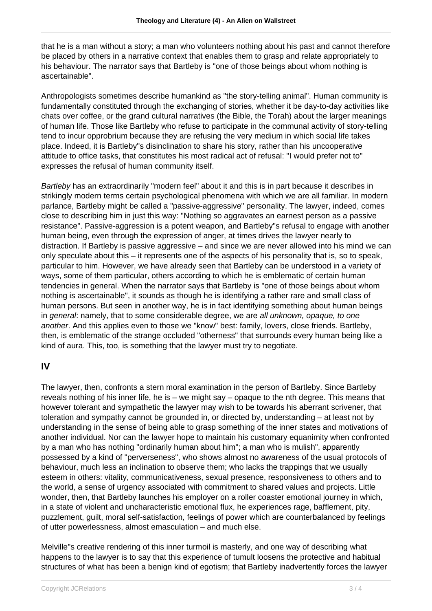that he is a man without a story; a man who volunteers nothing about his past and cannot therefore be placed by others in a narrative context that enables them to grasp and relate appropriately to his behaviour. The narrator says that Bartleby is "one of those beings about whom nothing is ascertainable".

Anthropologists sometimes describe humankind as "the story-telling animal". Human community is fundamentally constituted through the exchanging of stories, whether it be day-to-day activities like chats over coffee, or the grand cultural narratives (the Bible, the Torah) about the larger meanings of human life. Those like Bartleby who refuse to participate in the communal activity of story-telling tend to incur opprobrium because they are refusing the very medium in which social life takes place. Indeed, it is Bartleby"s disinclination to share his story, rather than his uncooperative attitude to office tasks, that constitutes his most radical act of refusal: "I would prefer not to" expresses the refusal of human community itself.

Bartleby has an extraordinarily "modern feel" about it and this is in part because it describes in strikingly modern terms certain psychological phenomena with which we are all familiar. In modern parlance, Bartleby might be called a "passive-aggressive" personality. The lawyer, indeed, comes close to describing him in just this way: "Nothing so aggravates an earnest person as a passive resistance". Passive-aggression is a potent weapon, and Bartleby"s refusal to engage with another human being, even through the expression of anger, at times drives the lawyer nearly to distraction. If Bartleby is passive aggressive – and since we are never allowed into his mind we can only speculate about this – it represents one of the aspects of his personality that is, so to speak, particular to him. However, we have already seen that Bartleby can be understood in a variety of ways, some of them particular, others according to which he is emblematic of certain human tendencies in general. When the narrator says that Bartleby is "one of those beings about whom nothing is ascertainable", it sounds as though he is identifying a rather rare and small class of human persons. But seen in another way, he is in fact identifying something about human beings in general: namely, that to some considerable degree, we are all unknown, opaque, to one another. And this applies even to those we "know" best: family, lovers, close friends. Bartleby, then, is emblematic of the strange occluded "otherness" that surrounds every human being like a kind of aura. This, too, is something that the lawyer must try to negotiate.

## **IV**

The lawyer, then, confronts a stern moral examination in the person of Bartleby. Since Bartleby reveals nothing of his inner life, he is – we might say – opaque to the nth degree. This means that however tolerant and sympathetic the lawyer may wish to be towards his aberrant scrivener, that toleration and sympathy cannot be grounded in, or directed by, understanding – at least not by understanding in the sense of being able to grasp something of the inner states and motivations of another individual. Nor can the lawyer hope to maintain his customary equanimity when confronted by a man who has nothing "ordinarily human about him"; a man who is mulish", apparently possessed by a kind of "perverseness", who shows almost no awareness of the usual protocols of behaviour, much less an inclination to observe them; who lacks the trappings that we usually esteem in others: vitality, communicativeness, sexual presence, responsiveness to others and to the world, a sense of urgency associated with commitment to shared values and projects. Little wonder, then, that Bartleby launches his employer on a roller coaster emotional journey in which, in a state of violent and uncharacteristic emotional flux, he experiences rage, bafflement, pity, puzzlement, guilt, moral self-satisfaction, feelings of power which are counterbalanced by feelings of utter powerlessness, almost emasculation – and much else.

Melville"s creative rendering of this inner turmoil is masterly, and one way of describing what happens to the lawyer is to say that this experience of tumult loosens the protective and habitual structures of what has been a benign kind of egotism; that Bartleby inadvertently forces the lawyer